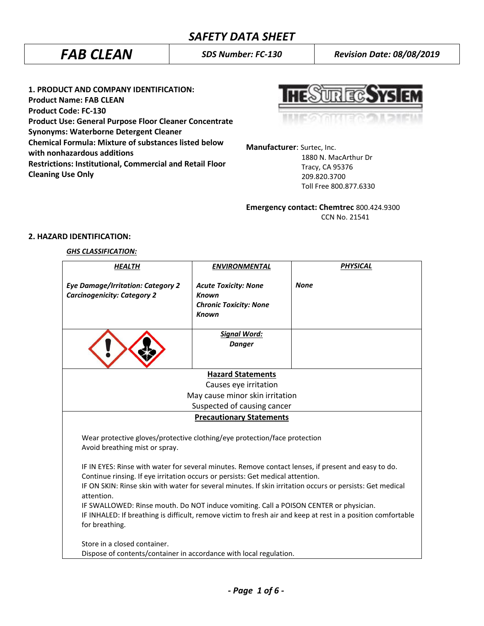# *SAFETY DATA SHEET*

*FAB CLEAN SDS Number: FC-130 Revision Date: 08/08/2019*

**1. PRODUCT AND COMPANY IDENTIFICATION: Product Name: FAB CLEAN Product Code: FC-130 Product Use: General Purpose Floor Cleaner Concentrate Synonyms: Waterborne Detergent Cleaner Chemical Formula: Mixture of substances listed below with nonhazardous additions Restrictions: Institutional, Commercial and Retail Floor Cleaning Use Only**

**UREC.SYS** 

**Manufacturer**: Surtec, Inc.

 1880 N. MacArthur Dr Tracy, CA 95376 209.820.3700 Toll Free 800.877.6330

**Emergency contact: Chemtrec** 800.424.9300 CCN No. 21541

## **2. HAZARD IDENTIFICATION:**

## *GHS CLASSIFICATION:*

| <b>HEALTH</b>                                                                                                                  | <b>ENVIRONMENTAL</b>                                                                                | <b>PHYSICAL</b> |  |
|--------------------------------------------------------------------------------------------------------------------------------|-----------------------------------------------------------------------------------------------------|-----------------|--|
| <b>Eye Damage/Irritation: Category 2</b><br><b>Carcinogenicity: Category 2</b>                                                 | <b>Acute Toxicity: None</b><br><b>Known</b><br><b>Chronic Toxicity: None</b><br><b>Known</b>        | <b>None</b>     |  |
|                                                                                                                                | <b>Signal Word:</b><br><b>Danger</b>                                                                |                 |  |
| <b>Hazard Statements</b>                                                                                                       |                                                                                                     |                 |  |
| Causes eye irritation                                                                                                          |                                                                                                     |                 |  |
| May cause minor skin irritation                                                                                                |                                                                                                     |                 |  |
|                                                                                                                                | Suspected of causing cancer                                                                         |                 |  |
|                                                                                                                                | <b>Precautionary Statements</b>                                                                     |                 |  |
| Wear protective gloves/protective clothing/eye protection/face protection<br>Avoid breathing mist or spray.                    |                                                                                                     |                 |  |
|                                                                                                                                | IF IN EYES: Rinse with water for several minutes. Remove contact lenses, if present and easy to do. |                 |  |
| Continue rinsing. If eye irritation occurs or persists: Get medical attention.                                                 |                                                                                                     |                 |  |
| IF ON SKIN: Rinse skin with water for several minutes. If skin irritation occurs or persists: Get medical<br>attention.        |                                                                                                     |                 |  |
| IF SWALLOWED: Rinse mouth. Do NOT induce vomiting. Call a POISON CENTER or physician.                                          |                                                                                                     |                 |  |
| IF INHALED: If breathing is difficult, remove victim to fresh air and keep at rest in a position comfortable<br>for breathing. |                                                                                                     |                 |  |
| Store in a closed container.                                                                                                   |                                                                                                     |                 |  |
| Dispose of contents/container in accordance with local regulation.                                                             |                                                                                                     |                 |  |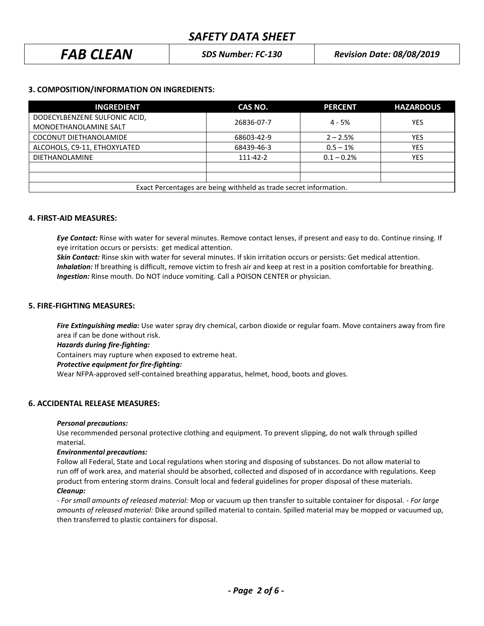| <b>FAB CLEAN</b><br><b>Revision Date: 08/08/2019</b><br><b>SDS Number: FC-130</b> |
|-----------------------------------------------------------------------------------|
|-----------------------------------------------------------------------------------|

## **3. COMPOSITION/INFORMATION ON INGREDIENTS:**

| <b>INGREDIENT</b>                                                 | CAS NO.    | <b>PERCENT</b> | <b>HAZARDOUS</b> |
|-------------------------------------------------------------------|------------|----------------|------------------|
| DODECYLBENZENE SULFONIC ACID,                                     | 26836-07-7 | $4 - 5%$       | <b>YES</b>       |
| MONOETHANOLAMINE SALT                                             |            |                |                  |
| COCONUT DIETHANOLAMIDE                                            | 68603-42-9 | $2 - 2.5%$     | <b>YES</b>       |
| ALCOHOLS, C9-11, ETHOXYLATED                                      | 68439-46-3 | $0.5 - 1%$     | <b>YES</b>       |
| <b>DIETHANOLAMINE</b>                                             | 111-42-2   | $0.1 - 0.2%$   | <b>YES</b>       |
|                                                                   |            |                |                  |
|                                                                   |            |                |                  |
| Exact Percentages are being withheld as trade secret information. |            |                |                  |

## **4. FIRST-AID MEASURES:**

*Eye Contact:* Rinse with water for several minutes. Remove contact lenses, if present and easy to do. Continue rinsing. If eye irritation occurs or persists: get medical attention.

*Skin Contact:* Rinse skin with water for several minutes. If skin irritation occurs or persists: Get medical attention.  *Inhalation:* If breathing is difficult, remove victim to fresh air and keep at rest in a position comfortable for breathing. *Ingestion:* Rinse mouth. Do NOT induce vomiting. Call a POISON CENTER or physician.

## **5. FIRE-FIGHTING MEASURES:**

*Fire Extinguishing media:* Use water spray dry chemical, carbon dioxide or regular foam. Move containers away from fire area if can be done without risk.

*Hazards during fire-fighting:*

Containers may rupture when exposed to extreme heat.

## *Protective equipment for fire-fighting:*

Wear NFPA-approved self-contained breathing apparatus, helmet, hood, boots and gloves.

## **6. ACCIDENTAL RELEASE MEASURES:**

## *Personal precautions:*

Use recommended personal protective clothing and equipment. To prevent slipping, do not walk through spilled material.

## *Environmental precautions:*

Follow all Federal, State and Local regulations when storing and disposing of substances. Do not allow material to run off of work area, and material should be absorbed, collected and disposed of in accordance with regulations. Keep product from entering storm drains. Consult local and federal guidelines for proper disposal of these materials. *Cleanup:*

*- For small amounts of released material:* Mop or vacuum up then transfer to suitable container for disposal. - *For large amounts of released material:* Dike around spilled material to contain. Spilled material may be mopped or vacuumed up, then transferred to plastic containers for disposal.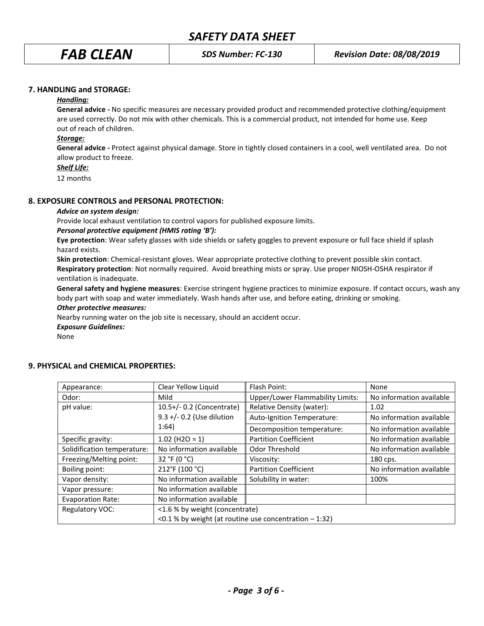## **7. HANDLING and STORAGE:**

## *Handling:*

**General advice -** No specific measures are necessary provided product and recommended protective clothing/equipment are used correctly. Do not mix with other chemicals. This is a commercial product, not intended for home use. Keep out of reach of children.

## *Storage:*

**General advice -** Protect against physical damage. Store in tightly closed containers in a cool, well ventilated area. Do not allow product to freeze.

## *Shelf Life:*

12 months

## **8. EXPOSURE CONTROLS and PERSONAL PROTECTION:**

## *Advice on system design:*

Provide local exhaust ventilation to control vapors for published exposure limits.

## *Personal protective equipment (HMIS rating 'B'):*

**Eye protection**: Wear safety glasses with side shields or safety goggles to prevent exposure or full face shield if splash hazard exists.

**Skin protection**: Chemical-resistant gloves. Wear appropriate protective clothing to prevent possible skin contact. **Respiratory protection**: Not normally required. Avoid breathing mists or spray. Use proper NIOSH-OSHA respirator if ventilation is inadequate.

**General safety and hygiene measures**: Exercise stringent hygiene practices to minimize exposure. If contact occurs, wash any body part with soap and water immediately. Wash hands after use, and before eating, drinking or smoking.

## *Other protective measures:*

Nearby running water on the job site is necessary, should an accident occur.

*Exposure Guidelines:*

None

| Appearance:                 | Clear Yellow Liquid                                      | Flash Point:                                             | None                     |  |
|-----------------------------|----------------------------------------------------------|----------------------------------------------------------|--------------------------|--|
| Odor:                       | Mild                                                     | <b>Upper/Lower Flammability Limits:</b>                  | No information available |  |
| pH value:                   | 10.5+/- 0.2 (Concentrate)                                | Relative Density (water):                                | 1.02                     |  |
|                             | 9.3 +/- 0.2 (Use dilution<br>1:64)                       | Auto-Ignition Temperature:                               | No information available |  |
|                             |                                                          | Decomposition temperature:                               | No information available |  |
| Specific gravity:           | $1.02$ (H2O = 1)                                         | <b>Partition Coefficient</b>                             | No information available |  |
| Solidification temperature: | No information available                                 | <b>Odor Threshold</b>                                    | No information available |  |
| Freezing/Melting point:     | 32 °F (0 °C)                                             | Viscosity:                                               | 180 cps.                 |  |
| Boiling point:              | 212°F (100 °C)                                           | <b>Partition Coefficient</b><br>No information available |                          |  |
| Vapor density:              | No information available                                 | Solubility in water:<br>100%                             |                          |  |
| Vapor pressure:             | No information available                                 |                                                          |                          |  |
| <b>Evaporation Rate:</b>    | No information available                                 |                                                          |                          |  |
| Regulatory VOC:             | <1.6 % by weight (concentrate)                           |                                                          |                          |  |
|                             | <0.1 % by weight (at routine use concentration $-1:32$ ) |                                                          |                          |  |

## **9. PHYSICAL and CHEMICAL PROPERTIES:**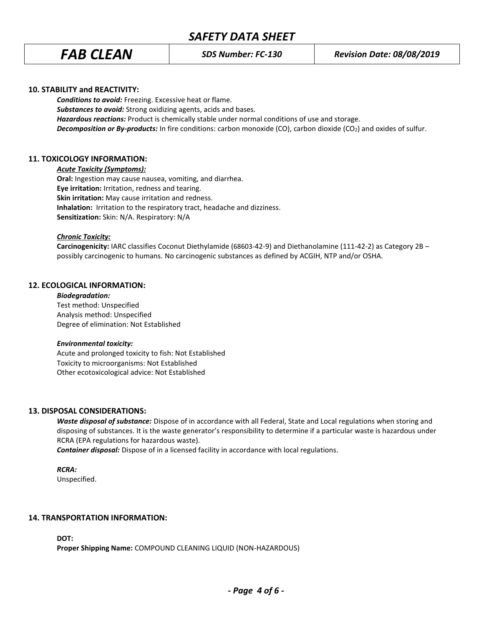## **10. STABILITY and REACTIVITY:**

*Conditions to avoid:* Freezing. Excessive heat or flame. *Substances to avoid:* Strong oxidizing agents, acids and bases. *Hazardous reactions:* Product is chemically stable under normal conditions of use and storage. *Decomposition or By-products:* In fire conditions: carbon monoxide (CO), carbon dioxide (CO2) and oxides of sulfur.

## **11. TOXICOLOGY INFORMATION:**

*Acute Toxicity (Symptoms):*

**Oral:** Ingestion may cause nausea, vomiting, and diarrhea. **Eye irritation:** Irritation, redness and tearing. **Skin irritation:** May cause irritation and redness. **Inhalation:** Irritation to the respiratory tract, headache and dizziness. **Sensitization:** Skin: N/A. Respiratory: N/A

## *Chronic Toxicity:*

**Carcinogenicity:** IARC classifies Coconut Diethylamide (68603-42-9) and Diethanolamine (111-42-2) as Category 2B – possibly carcinogenic to humans. No carcinogenic substances as defined by ACGIH, NTP and/or OSHA.

## **12. ECOLOGICAL INFORMATION:**

*Biodegradation:* Test method: Unspecified Analysis method: Unspecified Degree of elimination: Not Established

## *Environmental toxicity:*

Acute and prolonged toxicity to fish: Not Established Toxicity to microorganisms: Not Established Other ecotoxicological advice: Not Established

## **13. DISPOSAL CONSIDERATIONS:**

*Waste disposal of substance:* Dispose of in accordance with all Federal, State and Local regulations when storing and disposing of substances. It is the waste generator's responsibility to determine if a particular waste is hazardous under RCRA (EPA regulations for hazardous waste).

*Container disposal:* Dispose of in a licensed facility in accordance with local regulations.

*RCRA:*

Unspecified.

## **14. TRANSPORTATION INFORMATION:**

**DOT:**

**Proper Shipping Name:** COMPOUND CLEANING LIQUID (NON-HAZARDOUS)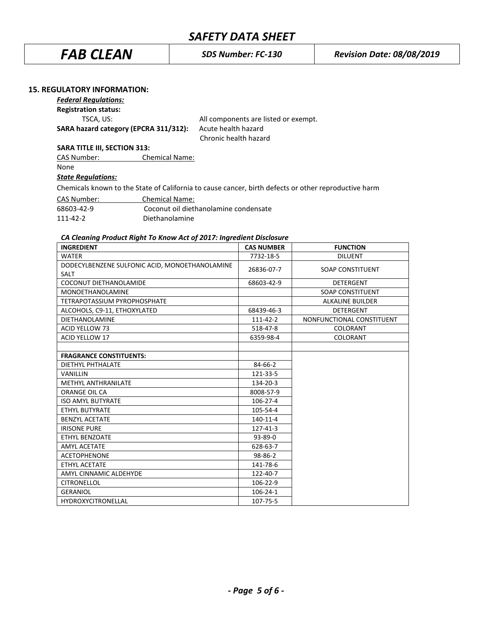*FAB CLEAN SDS Number: FC-130 Revision Date: 08/08/2019*

## **15. REGULATORY INFORMATION:**

## *Federal Regulations:*

**Registration status:**

**SARA hazard category (EPCRA 311/312):** Acute health hazard

TSCA, US: All components are listed or exempt. Chronic health hazard

## **SARA TITLE III, SECTION 313:**

CAS Number: Chemical Name: None *State Regulations:* Chemicals known to the State of California to cause cancer, birth defects or other reproductive harm CAS Number: Chemical Name: 68603-42-9 [Coconut oil diethanolamine](http://en.wikipedia.org/wiki/Cocamide_DEA) condensate

111-42-2 Diethanolamine

## *CA Cleaning Product Right To Know Act of 2017: Ingredient Disclosure*

| <b>INGREDIENT</b>                                             | <b>CAS NUMBER</b> | <b>FUNCTION</b>           |
|---------------------------------------------------------------|-------------------|---------------------------|
| <b>WATER</b>                                                  | 7732-18-5         | <b>DILUENT</b>            |
| DODECYLBENZENE SULFONIC ACID, MONOETHANOLAMINE<br><b>SALT</b> | 26836-07-7        | <b>SOAP CONSTITUENT</b>   |
| COCONUT DIETHANOLAMIDE                                        | 68603-42-9        | <b>DETERGENT</b>          |
| <b>MONOETHANOLAMINE</b>                                       |                   | <b>SOAP CONSTITUENT</b>   |
| <b>TETRAPOTASSIUM PYROPHOSPHATE</b>                           |                   | <b>ALKALINE BUILDER</b>   |
| ALCOHOLS, C9-11, ETHOXYLATED                                  | 68439-46-3        | <b>DETERGENT</b>          |
| <b>DIETHANOLAMINE</b>                                         | 111-42-2          | NONFUNCTIONAL CONSTITUENT |
| <b>ACID YELLOW 73</b>                                         | 518-47-8          | COLORANT                  |
| <b>ACID YELLOW 17</b>                                         | 6359-98-4         | COLORANT                  |
|                                                               |                   |                           |
| <b>FRAGRANCE CONSTITUENTS:</b>                                |                   |                           |
| DIETHYL PHTHALATE                                             | 84-66-2           |                           |
| <b>VANILLIN</b>                                               | 121-33-5          |                           |
| <b>METHYL ANTHRANILATE</b>                                    | 134-20-3          |                           |
| ORANGE OIL CA                                                 | 8008-57-9         |                           |
| <b>ISO AMYL BUTYRATE</b>                                      | 106-27-4          |                           |
| <b>ETHYL BUTYRATE</b>                                         | 105-54-4          |                           |
| <b>BENZYL ACETATE</b>                                         | 140-11-4          |                           |
| <b>IRISONE PURE</b>                                           | 127-41-3          |                           |
| ETHYL BENZOATE                                                | 93-89-0           |                           |
| <b>AMYL ACETATE</b>                                           | 628-63-7          |                           |
| <b>ACETOPHENONE</b>                                           | 98-86-2           |                           |
| ETHYL ACETATE                                                 | 141-78-6          |                           |
| AMYL CINNAMIC ALDEHYDE                                        | 122-40-7          |                           |
| <b>CITRONELLOL</b>                                            | 106-22-9          |                           |
| <b>GERANIOL</b>                                               | $106 - 24 - 1$    |                           |
| <b>HYDROXYCITRONELLAL</b>                                     | 107-75-5          |                           |